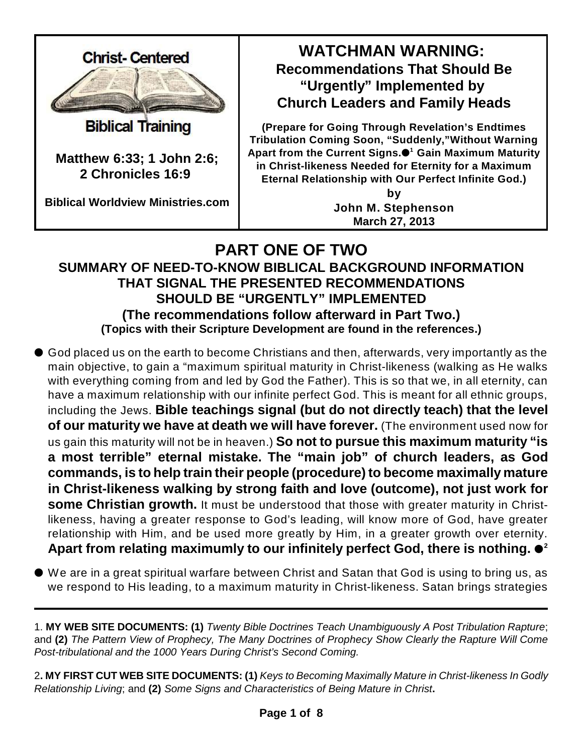

**Biblical Training** 

**Matthew 6:33; 1 John 2:6; 2 Chronicles 16:9** 

**Biblical Worldview Ministries.com**

# **WATCHMAN WARNING: Recommendations That Should Be "Urgently" Implemented by Church Leaders and Family Heads**

**(Prepare for Going Through Revelation's Endtimes Tribulation Coming Soon, "Suddenly,"Without Warning Apart from the Current Signs. Gain Maximum Maturity 1 in Christ-likeness Needed for Eternity for a Maximum Eternal Relationship with Our Perfect Infinite God.)**

> **by John M. Stephenson March 27, 2013**

## **PART ONE OF TWO SUMMARY OF NEED-TO-KNOW BIBLICAL BACKGROUND INFORMATION THAT SIGNAL THE PRESENTED RECOMMENDATIONS SHOULD BE "URGENTLY" IMPLEMENTED (The recommendations follow afterward in Part Two.) (Topics with their Scripture Development are found in the references.)**

- God placed us on the earth to become Christians and then, afterwards, very importantly as the main objective, to gain a "maximum spiritual maturity in Christ-likeness (walking as He walks with everything coming from and led by God the Father). This is so that we, in all eternity, can have a maximum relationship with our infinite perfect God. This is meant for all ethnic groups, including the Jews. **Bible teachings signal (but do not directly teach) that the level of our maturity we have at death we will have forever.** (The environment used now for us gain this maturity will not be in heaven.) **So not to pursue this maximum maturity "is a most terrible" eternal mistake. The "main job" of church leaders, as God commands, is to help train their people (procedure) to become maximally mature in Christ-likeness walking by strong faith and love (outcome), not just work for some Christian growth.** It must be understood that those with greater maturity in Christlikeness, having a greater response to God's leading, will know more of God, have greater relationship with Him, and be used more greatly by Him, in a greater growth over eternity. **Apart from relating maximumly to our infinitely perfect God, there is nothing. 2**
- We are in a great spiritual warfare between Christ and Satan that God is using to bring us, as we respond to His leading, to a maximum maturity in Christ-likeness. Satan brings strategies
- 1. **MY WEB SITE DOCUMENTS: (1)** *Twenty Bible Doctrines Teach Unambiguously A Post Tribulation Rapture*; and **(2)** *The Pattern View of Prophecy, The Many Doctrines of Prophecy Show Clearly the Rapture Will Come Post-tribulational and the 1000 Years During Christ's Second Coming.*
- 2**. MY FIRST CUT WEB SITE DOCUMENTS: (1)** *Keys to Becoming Maximally Mature in Christ-likeness In Godly Relationship Living*; and **(2)** *Some Signs and Characteristics of Being Mature in Christ***.**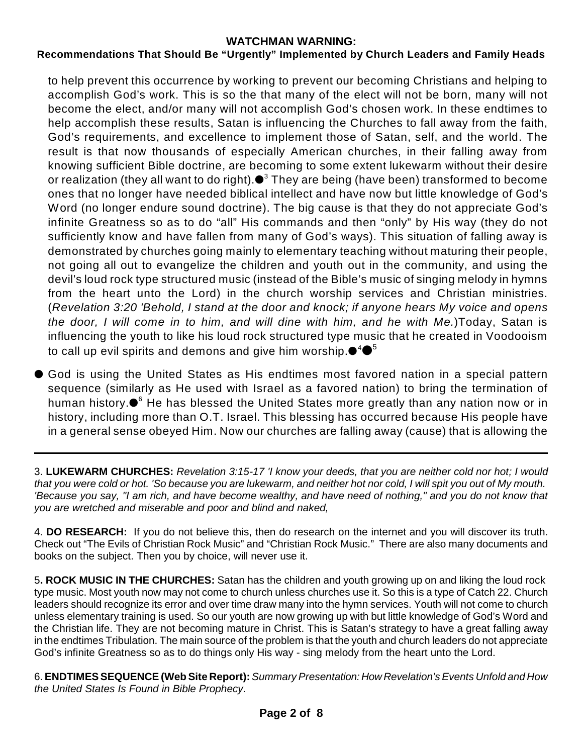## **Recommendations That Should Be "Urgently" Implemented by Church Leaders and Family Heads**

to help prevent this occurrence by working to prevent our becoming Christians and helping to accomplish God's work. This is so the that many of the elect will not be born, many will not become the elect, and/or many will not accomplish God's chosen work. In these endtimes to help accomplish these results, Satan is influencing the Churches to fall away from the faith, God's requirements, and excellence to implement those of Satan, self, and the world. The result is that now thousands of especially American churches, in their falling away from knowing sufficient Bible doctrine, are becoming to some extent lukewarm without their desire or realization (they all want to do right). $\bullet^3$  They are being (have been) transformed to become ones that no longer have needed biblical intellect and have now but little knowledge of God's Word (no longer endure sound doctrine). The big cause is that they do not appreciate God's infinite Greatness so as to do "all" His commands and then "only" by His way (they do not sufficiently know and have fallen from many of God's ways). This situation of falling away is demonstrated by churches going mainly to elementary teaching without maturing their people, not going all out to evangelize the children and youth out in the community, and using the devil's loud rock type structured music (instead of the Bible's music of singing melody in hymns from the heart unto the Lord) in the church worship services and Christian ministries. (*Revelation 3:20 'Behold, I stand at the door and knock; if anyone hears My voice and opens the door, I will come in to him, and will dine with him, and he with Me.*)Today, Satan is influencing the youth to like his loud rock structured type music that he created in Voodooism to call up evil spirits and demons and give him worship. $\bullet^4 \bullet^5$ 

 God is using the United States as His endtimes most favored nation in a special pattern sequence (similarly as He used with Israel as a favored nation) to bring the termination of human history. $\bullet^{\scriptscriptstyle 6}$  He has blessed the United States more greatly than any nation now or in history, including more than O.T. Israel. This blessing has occurred because His people have in a general sense obeyed Him. Now our churches are falling away (cause) that is allowing the

3. **LUKEWARM CHURCHES:** *Revelation 3:15-17 'I know your deeds, that you are neither cold nor hot; I would that you were cold or hot. 'So because you are lukewarm, and neither hot nor cold, I will spit you out of My mouth. 'Because you say, "I am rich, and have become wealthy, and have need of nothing," and you do not know that you are wretched and miserable and poor and blind and naked,*

4. **DO RESEARCH:** If you do not believe this, then do research on the internet and you will discover its truth. Check out "The Evils of Christian Rock Music" and "Christian Rock Music." There are also many documents and books on the subject. Then you by choice, will never use it.

5**. ROCK MUSIC IN THE CHURCHES:** Satan has the children and youth growing up on and liking the loud rock type music. Most youth now may not come to church unless churches use it. So this is a type of Catch 22. Church leaders should recognize its error and over time draw many into the hymn services. Youth will not come to church unless elementary training is used. So our youth are now growing up with but little knowledge of God's Word and the Christian life. They are not becoming mature in Christ. This is Satan's strategy to have a great falling away in the endtimes Tribulation. The main source of the problem is that the youth and church leaders do not appreciate God's infinite Greatness so as to do things only His way - sing melody from the heart unto the Lord.

6.**ENDTIMES SEQUENCE (Web Site Report):** *Summary Presentation: How Revelation's Events Unfold and How the United States Is Found in Bible Prophecy.*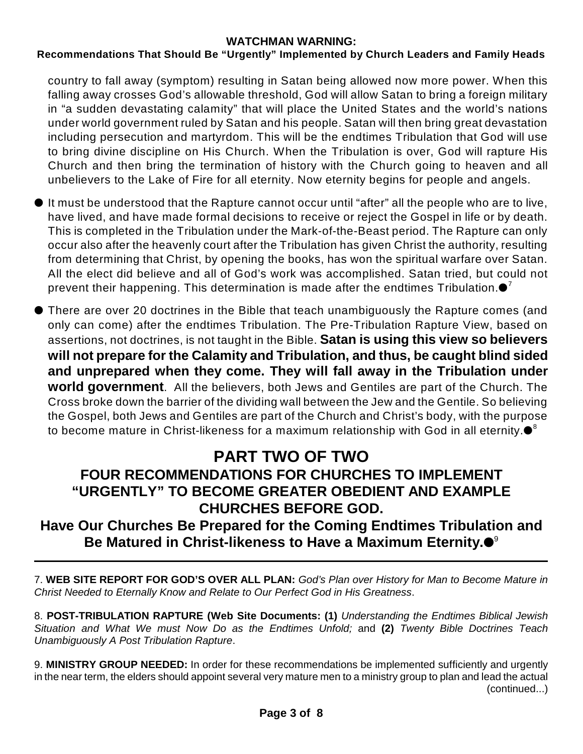## **Recommendations That Should Be "Urgently" Implemented by Church Leaders and Family Heads**

country to fall away (symptom) resulting in Satan being allowed now more power. When this falling away crosses God's allowable threshold, God will allow Satan to bring a foreign military in "a sudden devastating calamity" that will place the United States and the world's nations under world government ruled by Satan and his people. Satan will then bring great devastation including persecution and martyrdom. This will be the endtimes Tribulation that God will use to bring divine discipline on His Church. When the Tribulation is over, God will rapture His Church and then bring the termination of history with the Church going to heaven and all unbelievers to the Lake of Fire for all eternity. Now eternity begins for people and angels.

- It must be understood that the Rapture cannot occur until "after" all the people who are to live, have lived, and have made formal decisions to receive or reject the Gospel in life or by death. This is completed in the Tribulation under the Mark-of-the-Beast period. The Rapture can only occur also after the heavenly court after the Tribulation has given Christ the authority, resulting from determining that Christ, by opening the books, has won the spiritual warfare over Satan. All the elect did believe and all of God's work was accomplished. Satan tried, but could not prevent their happening. This determination is made after the endtimes Tribulation. $\mathord{\bullet}^7$
- There are over 20 doctrines in the Bible that teach unambiguously the Rapture comes (and only can come) after the endtimes Tribulation. The Pre-Tribulation Rapture View, based on assertions, not doctrines, is not taught in the Bible. **Satan is using this view so believers will not prepare for the Calamity and Tribulation, and thus, be caught blind sided and unprepared when they come. They will fall away in the Tribulation under world government**. All the believers, both Jews and Gentiles are part of the Church. The Cross broke down the barrier of the dividing wall between the Jew and the Gentile. So believing the Gospel, both Jews and Gentiles are part of the Church and Christ's body, with the purpose to become mature in Christ-likeness for a maximum relationship with God in all eternity. $\bullet^{\text{s}}$

## **PART TWO OF TWO FOUR RECOMMENDATIONS FOR CHURCHES TO IMPLEMENT "URGENTLY" TO BECOME GREATER OBEDIENT AND EXAMPLE CHURCHES BEFORE GOD.**

## **Have Our Churches Be Prepared for the Coming Endtimes Tribulation and Be Matured in Christ-likeness to Have a Maximum Eternity.** 9

7. **WEB SITE REPORT FOR GOD'S OVER ALL PLAN:** *God's Plan over History for Man to Become Mature in Christ Needed to Eternally Know and Relate to Our Perfect God in His Greatness*.

8. **POST-TRIBULATION RAPTURE (Web Site Documents: (1)** *Understanding the Endtimes Biblical Jewish Situation and What We must Now Do as the Endtimes Unfold;* and **(2)** *Twenty Bible Doctrines Teach Unambiguously A Post Tribulation Rapture*.

9. **MINISTRY GROUP NEEDED:** In order for these recommendations be implemented sufficiently and urgently in the near term, the elders should appoint several very mature men to a ministry group to plan and lead the actual (continued...)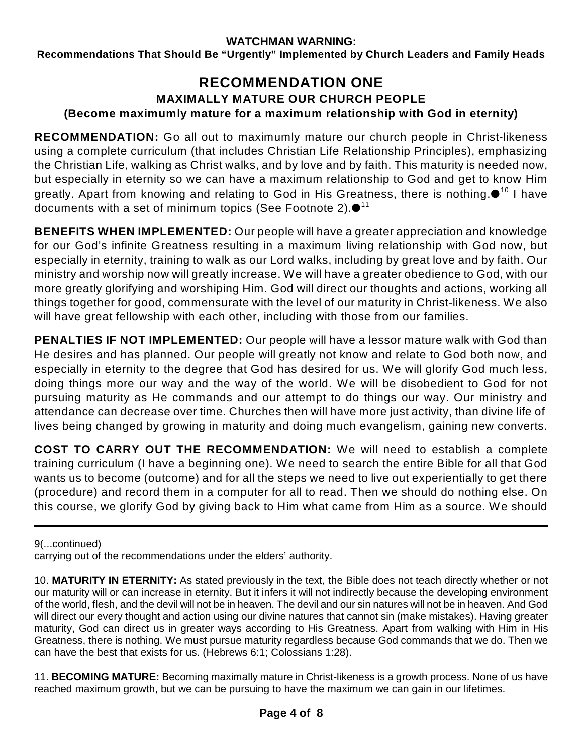**Recommendations That Should Be "Urgently" Implemented by Church Leaders and Family Heads**

## **RECOMMENDATION ONE MAXIMALLY MATURE OUR CHURCH PEOPLE (Become maximumly mature for a maximum relationship with God in eternity)**

**RECOMMENDATION:** Go all out to maximumly mature our church people in Christ-likeness using a complete curriculum (that includes Christian Life Relationship Principles), emphasizing the Christian Life, walking as Christ walks, and by love and by faith. This maturity is needed now, but especially in eternity so we can have a maximum relationship to God and get to know Him greatly. Apart from knowing and relating to God in His Greatness, there is nothing. $\bullet^{10}$  I have documents with a set of minimum topics (See Footnote 2). $\bullet^{_{11}}$ 

**BENEFITS WHEN IMPLEMENTED:** Our people will have a greater appreciation and knowledge for our God's infinite Greatness resulting in a maximum living relationship with God now, but especially in eternity, training to walk as our Lord walks, including by great love and by faith. Our ministry and worship now will greatly increase. We will have a greater obedience to God, with our more greatly glorifying and worshiping Him. God will direct our thoughts and actions, working all things together for good, commensurate with the level of our maturity in Christ-likeness. We also will have great fellowship with each other, including with those from our families.

**PENALTIES IF NOT IMPLEMENTED:** Our people will have a lessor mature walk with God than He desires and has planned. Our people will greatly not know and relate to God both now, and especially in eternity to the degree that God has desired for us. We will glorify God much less, doing things more our way and the way of the world. We will be disobedient to God for not pursuing maturity as He commands and our attempt to do things our way. Our ministry and attendance can decrease over time. Churches then will have more just activity, than divine life of lives being changed by growing in maturity and doing much evangelism, gaining new converts.

**COST TO CARRY OUT THE RECOMMENDATION:** We will need to establish a complete training curriculum (I have a beginning one). We need to search the entire Bible for all that God wants us to become (outcome) and for all the steps we need to live out experientially to get there (procedure) and record them in a computer for all to read. Then we should do nothing else. On this course, we glorify God by giving back to Him what came from Him as a source. We should

9(...continued)

carrying out of the recommendations under the elders' authority.

11. **BECOMING MATURE:** Becoming maximally mature in Christ-likeness is a growth process. None of us have reached maximum growth, but we can be pursuing to have the maximum we can gain in our lifetimes.

<sup>10.</sup> **MATURITY IN ETERNITY:** As stated previously in the text, the Bible does not teach directly whether or not our maturity will or can increase in eternity. But it infers it will not indirectly because the developing environment of the world, flesh, and the devil will not be in heaven. The devil and our sin natures will not be in heaven. And God will direct our every thought and action using our divine natures that cannot sin (make mistakes). Having greater maturity, God can direct us in greater ways according to His Greatness. Apart from walking with Him in His Greatness, there is nothing. We must pursue maturity regardless because God commands that we do. Then we can have the best that exists for us. (Hebrews 6:1; Colossians 1:28).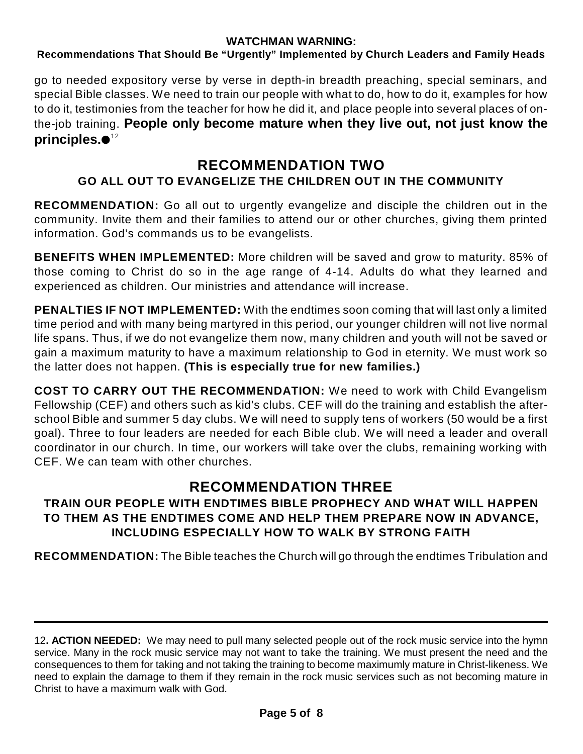## **Recommendations That Should Be "Urgently" Implemented by Church Leaders and Family Heads**

go to needed expository verse by verse in depth-in breadth preaching, special seminars, and special Bible classes. We need to train our people with what to do, how to do it, examples for how to do it, testimonies from the teacher for how he did it, and place people into several places of onthe-job training. **People only become mature when they live out, not just know the principles.** 12

## **RECOMMENDATION TWO**

## **GO ALL OUT TO EVANGELIZE THE CHILDREN OUT IN THE COMMUNITY**

**RECOMMENDATION:** Go all out to urgently evangelize and disciple the children out in the community. Invite them and their families to attend our or other churches, giving them printed information. God's commands us to be evangelists.

**BENEFITS WHEN IMPLEMENTED:** More children will be saved and grow to maturity. 85% of those coming to Christ do so in the age range of 4-14. Adults do what they learned and experienced as children. Our ministries and attendance will increase.

**PENALTIES IF NOT IMPLEMENTED:** With the endtimes soon coming that will last only a limited time period and with many being martyred in this period, our younger children will not live normal life spans. Thus, if we do not evangelize them now, many children and youth will not be saved or gain a maximum maturity to have a maximum relationship to God in eternity. We must work so the latter does not happen. **(This is especially true for new families.)**

**COST TO CARRY OUT THE RECOMMENDATION:** We need to work with Child Evangelism Fellowship (CEF) and others such as kid's clubs. CEF will do the training and establish the afterschool Bible and summer 5 day clubs. We will need to supply tens of workers (50 would be a first goal). Three to four leaders are needed for each Bible club. We will need a leader and overall coordinator in our church. In time, our workers will take over the clubs, remaining working with CEF. We can team with other churches.

## **RECOMMENDATION THREE**

## **TRAIN OUR PEOPLE WITH ENDTIMES BIBLE PROPHECY AND WHAT WILL HAPPEN TO THEM AS THE ENDTIMES COME AND HELP THEM PREPARE NOW IN ADVANCE, INCLUDING ESPECIALLY HOW TO WALK BY STRONG FAITH**

**RECOMMENDATION:** The Bible teaches the Church will go through the endtimes Tribulation and

<sup>12</sup>**. ACTION NEEDED:** We may need to pull many selected people out of the rock music service into the hymn service. Many in the rock music service may not want to take the training. We must present the need and the consequences to them for taking and not taking the training to become maximumly mature in Christ-likeness. We need to explain the damage to them if they remain in the rock music services such as not becoming mature in Christ to have a maximum walk with God.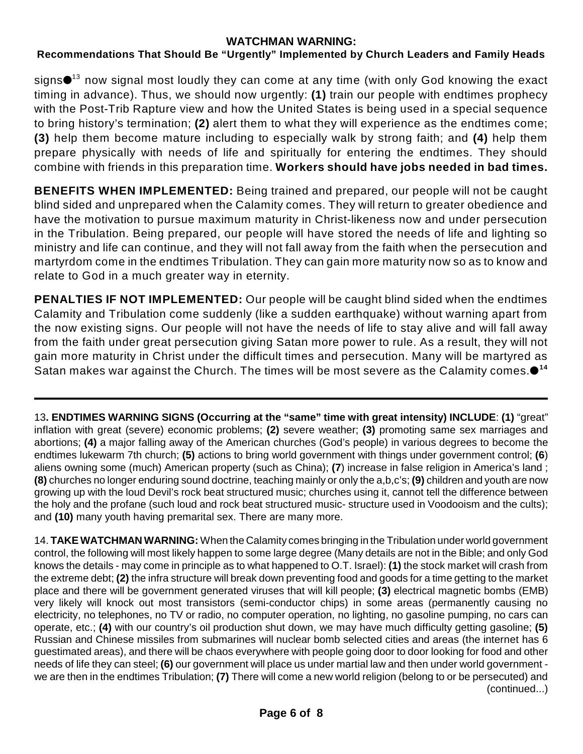## **Recommendations That Should Be "Urgently" Implemented by Church Leaders and Family Heads**

signs $\bullet^{ \text{13}}$  now signal most loudly they can come at any time (with only God knowing the exact timing in advance). Thus, we should now urgently: **(1)** train our people with endtimes prophecy with the Post-Trib Rapture view and how the United States is being used in a special sequence to bring history's termination; **(2)** alert them to what they will experience as the endtimes come; **(3)** help them become mature including to especially walk by strong faith; and **(4)** help them prepare physically with needs of life and spiritually for entering the endtimes. They should combine with friends in this preparation time. **Workers should have jobs needed in bad times.**

**BENEFITS WHEN IMPLEMENTED:** Being trained and prepared, our people will not be caught blind sided and unprepared when the Calamity comes. They will return to greater obedience and have the motivation to pursue maximum maturity in Christ-likeness now and under persecution in the Tribulation. Being prepared, our people will have stored the needs of life and lighting so ministry and life can continue, and they will not fall away from the faith when the persecution and martyrdom come in the endtimes Tribulation. They can gain more maturity now so as to know and relate to God in a much greater way in eternity.

**PENALTIES IF NOT IMPLEMENTED:** Our people will be caught blind sided when the endtimes Calamity and Tribulation come suddenly (like a sudden earthquake) without warning apart from the now existing signs. Our people will not have the needs of life to stay alive and will fall away from the faith under great persecution giving Satan more power to rule. As a result, they will not gain more maturity in Christ under the difficult times and persecution. Many will be martyred as Satan makes war against the Church. The times will be most severe as the Calamity comes. **14**

13**. ENDTIMES WARNING SIGNS (Occurring at the "same" time with great intensity) INCLUDE**: **(1)** "great" inflation with great (severe) economic problems; **(2)** severe weather; **(3)** promoting same sex marriages and abortions; **(4)** a major falling away of the American churches (God's people) in various degrees to become the endtimes lukewarm 7th church; **(5)** actions to bring world government with things under government control; **(6**) aliens owning some (much) American property (such as China); **(7**) increase in false religion in America's land ; **(8)** churches no longer enduring sound doctrine, teaching mainly or only the a,b,c's; **(9)** children and youth are now growing up with the loud Devil's rock beat structured music; churches using it, cannot tell the difference between the holy and the profane (such loud and rock beat structured music- structure used in Voodooism and the cults); and **(10)** many youth having premarital sex. There are many more.

14. **TAKE WATCHMAN WARNING:** When the Calamity comes bringing in the Tribulation under world government control, the following will most likely happen to some large degree (Many details are not in the Bible; and only God knows the details - may come in principle as to what happened to O.T. Israel): **(1)** the stock market will crash from the extreme debt; **(2)** the infra structure will break down preventing food and goods for a time getting to the market place and there will be government generated viruses that will kill people; **(3)** electrical magnetic bombs (EMB) very likely will knock out most transistors (semi-conductor chips) in some areas (permanently causing no electricity, no telephones, no TV or radio, no computer operation, no lighting, no gasoline pumping, no cars can operate, etc.; **(4)** with our country's oil production shut down, we may have much difficulty getting gasoline; **(5)** Russian and Chinese missiles from submarines will nuclear bomb selected cities and areas (the internet has 6 guestimated areas), and there will be chaos everywhere with people going door to door looking for food and other needs of life they can steel; **(6)** our government will place us under martial law and then under world government we are then in the endtimes Tribulation; **(7)** There will come a new world religion (belong to or be persecuted) and (continued...)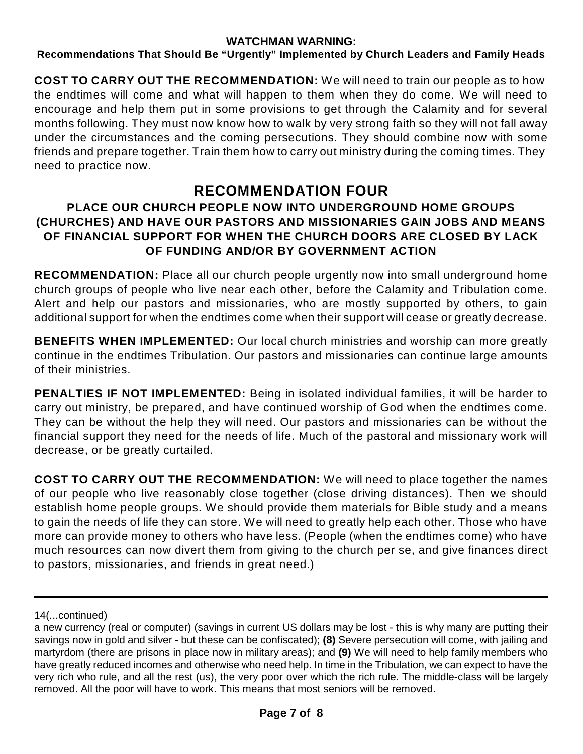## **Recommendations That Should Be "Urgently" Implemented by Church Leaders and Family Heads**

**COST TO CARRY OUT THE RECOMMENDATION:** We will need to train our people as to how the endtimes will come and what will happen to them when they do come. We will need to encourage and help them put in some provisions to get through the Calamity and for several months following. They must now know how to walk by very strong faith so they will not fall away under the circumstances and the coming persecutions. They should combine now with some friends and prepare together. Train them how to carry out ministry during the coming times. They need to practice now.

## **RECOMMENDATION FOUR**

## **PLACE OUR CHURCH PEOPLE NOW INTO UNDERGROUND HOME GROUPS (CHURCHES) AND HAVE OUR PASTORS AND MISSIONARIES GAIN JOBS AND MEANS OF FINANCIAL SUPPORT FOR WHEN THE CHURCH DOORS ARE CLOSED BY LACK OF FUNDING AND/OR BY GOVERNMENT ACTION**

**RECOMMENDATION:** Place all our church people urgently now into small underground home church groups of people who live near each other, before the Calamity and Tribulation come. Alert and help our pastors and missionaries, who are mostly supported by others, to gain additional support for when the endtimes come when their support will cease or greatly decrease.

**BENEFITS WHEN IMPLEMENTED:** Our local church ministries and worship can more greatly continue in the endtimes Tribulation. Our pastors and missionaries can continue large amounts of their ministries.

**PENALTIES IF NOT IMPLEMENTED:** Being in isolated individual families, it will be harder to carry out ministry, be prepared, and have continued worship of God when the endtimes come. They can be without the help they will need. Our pastors and missionaries can be without the financial support they need for the needs of life. Much of the pastoral and missionary work will decrease, or be greatly curtailed.

**COST TO CARRY OUT THE RECOMMENDATION:** We will need to place together the names of our people who live reasonably close together (close driving distances). Then we should establish home people groups. We should provide them materials for Bible study and a means to gain the needs of life they can store. We will need to greatly help each other. Those who have more can provide money to others who have less. (People (when the endtimes come) who have much resources can now divert them from giving to the church per se, and give finances direct to pastors, missionaries, and friends in great need.)

<sup>14(...</sup>continued)

a new currency (real or computer) (savings in current US dollars may be lost - this is why many are putting their savings now in gold and silver - but these can be confiscated); **(8)** Severe persecution will come, with jailing and martyrdom (there are prisons in place now in military areas); and **(9)** We will need to help family members who have greatly reduced incomes and otherwise who need help. In time in the Tribulation, we can expect to have the very rich who rule, and all the rest (us), the very poor over which the rich rule. The middle-class will be largely removed. All the poor will have to work. This means that most seniors will be removed.